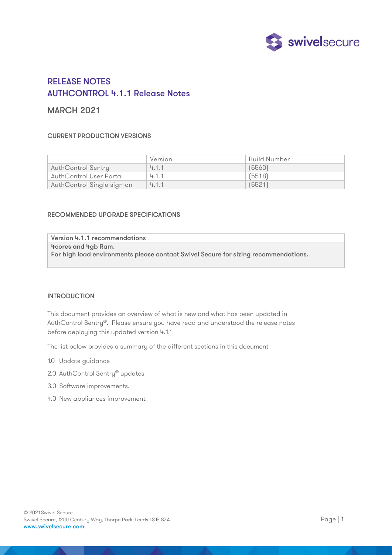

# RELEASE NOTES AUTHCONTROL 4.1.1 Release Notes

# MARCH 2021

# CURRENT PRODUCTION VERSIONS

|                            | Version | Build Number |
|----------------------------|---------|--------------|
| AuthControl Sentry         | 4.1.1   | [5560]       |
| AuthControl User Portal    | 4.1.1   | [5518]       |
| AuthControl Single sign-on | 4.1.1   | [5521]       |

#### RECOMMENDED UPGRADE SPECIFICATIONS

Version 4.1.1 recommendations 4cores and 4gb Ram. For high load environments please contact Swivel Secure for sizing recommendations.

#### INTRODUCTION

This document provides an overview of what is new and what has been updated in AuthControl Sentry®. Please ensure you have read and understood the release notes before deploying this updated version 4.1.1

The list below provides a summary of the different sections in this document

- 1.0 Update guidance
- 2.0 AuthControl Sentry<sup>®</sup> updates
- 3.0 Software improvements.
- 4.0 New appliances improvement.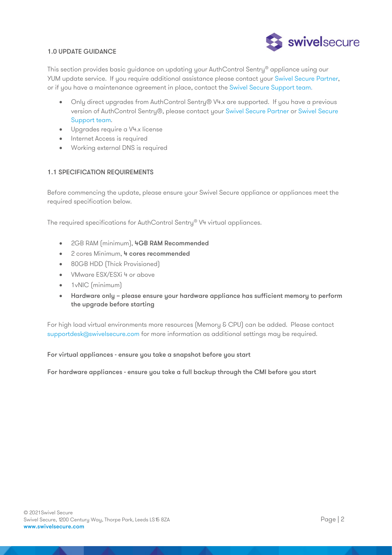

# 1.0 UPDATE GUIDANCE

This section provides basic guidance on updating your AuthControl Sentry® appliance using our YUM update service. If you require additional assistance please contact you[r Swivel Secure Partner,](https://swivelsecure.com/partners/find-a-partner/) or if you have a maintenance agreement in place, contact the [Swivel Secure Support team.](https://supportdesk.swivelsecure.com/login/user)

- Only direct upgrades from AuthControl Sentry® V4.x are supported. If you have a previous version of AuthControl Sentry®, please contact your [Swivel Secure Partner](https://swivelsecure.com/partners/find-a-partner/) or [Swivel Secure](https://supportdesk.swivelsecure.com/login/user)  [Support team.](https://supportdesk.swivelsecure.com/login/user)
- Upgrades require a V4.x license
- Internet Access is required
- Working external DNS is required

# 1.1 SPECIFICATION REQUIREMENTS

Before commencing the update, please ensure your Swivel Secure appliance or appliances meet the required specification below.

The required specifications for AuthControl Sentry® V4 virtual appliances.

- 2GB RAM (minimum), 4GB RAM Recommended
- 2 cores Minimum, 4 cores recommended
- 80GB HDD (Thick Provisioned)
- VMware ESX/ESXi 4 or above
- 1 vNIC (minimum)
- Hardware only please ensure your hardware appliance has sufficient memory to perform the upgrade before starting

For high load virtual environments more resources (Memory & CPU) can be added. Please contact supportdesk@swivelsecure.com for more information as additional settings may be required.

# For virtual appliances - ensure you take a snapshot before you start

For hardware appliances - ensure you take a full backup through the CMI before you start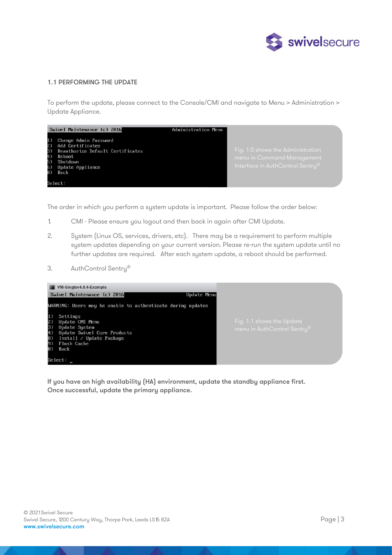

# 1.1 PERFORMING THE UPDATE

To perform the update, please connect to the Console/CMI and navigate to Menu > Administration > Update Appliance.



The order in which you perform a sustem update is important. Please follow the order below:

- 1. CMI Please ensure you logout and then back in again after CMI Update.
- 2. System (Linux OS, services, drivers, etc). There may be a requirement to perform multiple system updates depending on your current version. Please re-run the system update until no further updates are required. After each system update, a reboot should be performed.
- 3. AuthControl Sentry®



If you have an high availability (HA) environment, update the standby appliance first. Once successful, update the primary appliance.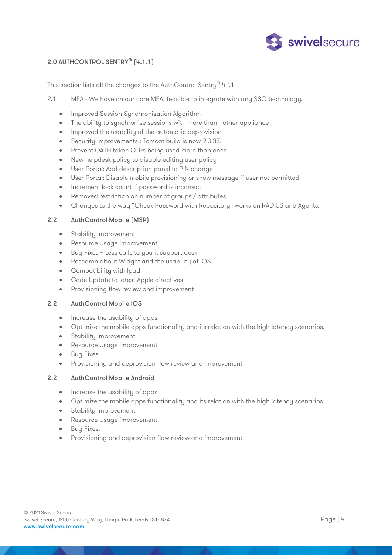

# 2.0 AUTHCONTROL SENTRY® (4.1.1)

This section lists all the changes to the AuthControl Sentry® 4.1.1

2.1 MFA - We have on our core MFA, feasible to integrate with any SSO technology.

- Improved Session Synchronisation Algorithm
- The ability to synchronise sessions with more than 1 other appliance
- Improved the usability of the automatic deprovision
- Security improvements : Tomcat build is now 9.0.37.
- Prevent OATH token OTPs being used more than once
- New helpdesk policy to disable editing user policy
- User Portal: Add description panel to PIN change
- User Portal: Disable mobile provisioning or show message if user not permitted
- Increment lock count if password is incorrect.
- Removed restriction on number of groups / attributes.
- Changes to the way "Check Password with Repository" works on RADIUS and Agents.

#### 2.2 AuthControl Mobile (MSP)

- Stability improvement
- Resource Usage improvement
- Bug Fixes Less calls to you it support desk.
- Research about Widget and the usability of IOS
- Compatibility with Ipad
- Code Update to latest Apple directives
- Provisioning flow review and improvement

#### 2.2 AuthControl Mobile IOS

- Increase the usability of apps.
- Optimize the mobile apps functionality and its relation with the high latency scenarios.
- Stability improvement.
- Resource Usage improvement
- Bug Fixes.
- Provisioning and deprovision flow review and improvement.

#### 2.2 AuthControl Mobile Android

- Increase the usability of apps.
- Optimize the mobile apps functionality and its relation with the high latency scenarios.
- Stability improvement.
- Resource Usage improvement
- **Bug Fixes.**
- Provisioning and deprovision flow review and improvement.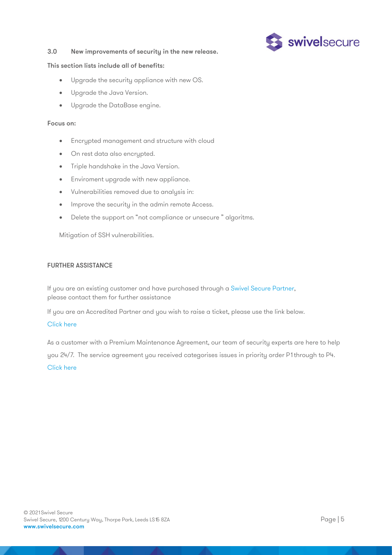# 3.0 New improvements of security in the new release.

#### This section lists include all of benefits:

- Upgrade the security appliance with new OS.
- Upgrade the Java Version.
- Upgrade the DataBase engine.

#### Focus on:

- Encrypted management and structure with cloud
- On rest data also encrypted.
- Triple handshake in the Java Version.
- Enviroment upgrade with new appliance.
- Vulnerabilities removed due to analysis in:
- Improve the security in the admin remote Access.
- Delete the support on "not compliance or unsecure " algoritms.

Mitigation of SSH vulnerabilities.

# FURTHER ASSISTANCE

If you are an existing customer and have purchased through a [Swivel Secure Partner,](https://swivelsecure.com/partners/find-a-partner/) please contact them for further assistance

If you are an Accredited Partner and you wish to raise a ticket, please use the link below.

#### [Click here](https://supportdesk.swivelsecure.com/login/user)

As a customer with a Premium Maintenance Agreement, our team of security experts are here to help you 24/7. The service agreement you received categorises issues in priority order P1 through to P4. [Click here](https://supportdesk.swivelsecure.com/login/user)